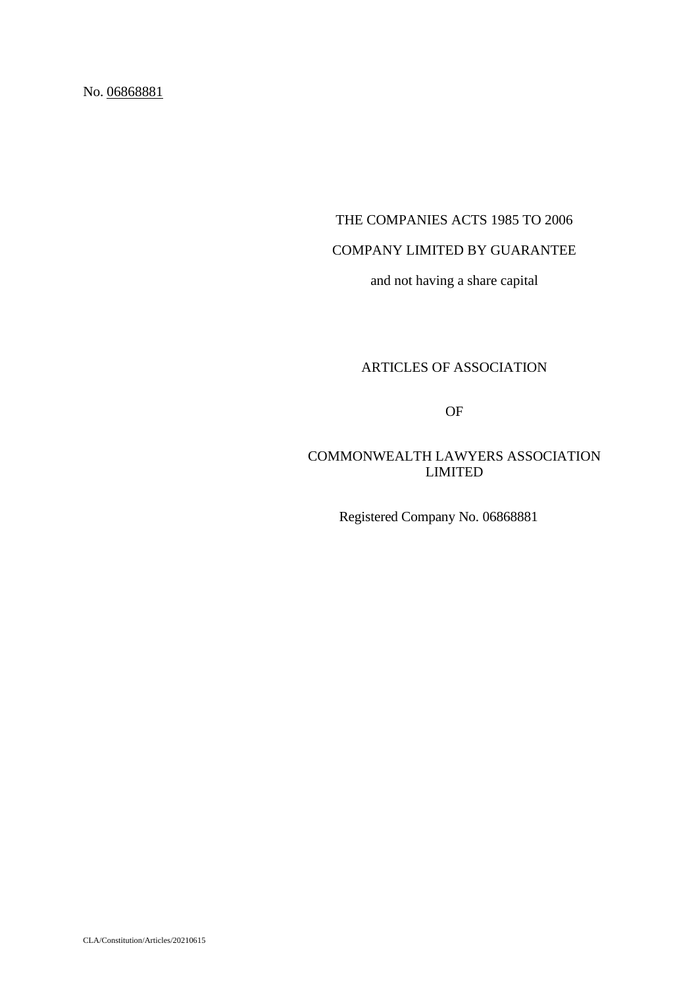No. 06868881

### THE COMPANIES ACTS 1985 TO 2006

# COMPANY LIMITED BY GUARANTEE

and not having a share capital

# ARTICLES OF ASSOCIATION

OF

# COMMONWEALTH LAWYERS ASSOCIATION LIMITED

Registered Company No. 06868881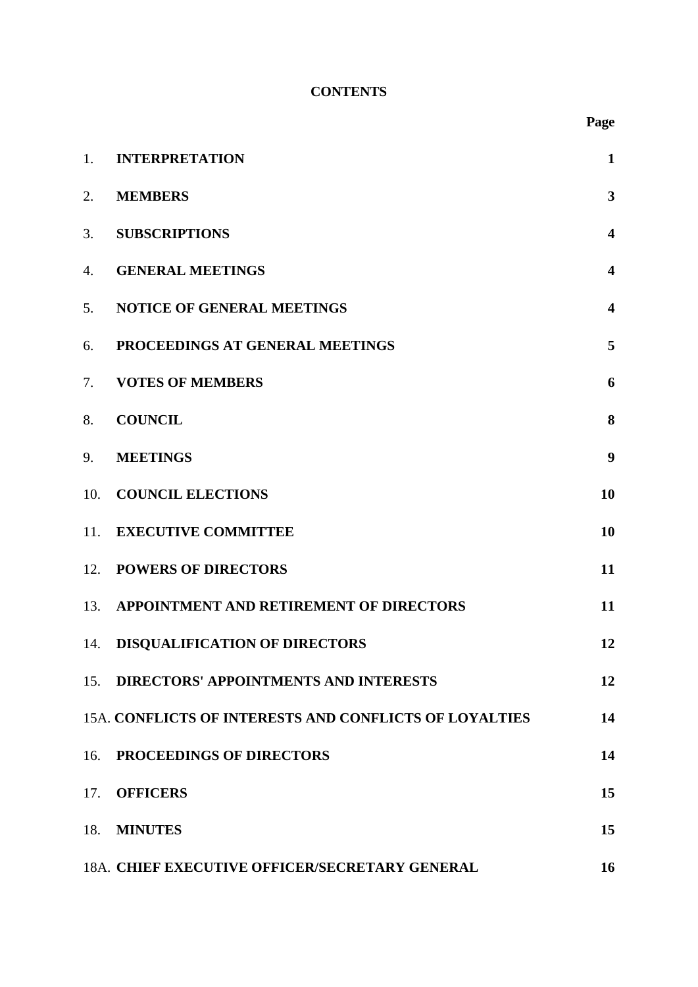# **CONTENTS**

| 1.  | <b>INTERPRETATION</b>                                  | $\mathbf{1}$            |
|-----|--------------------------------------------------------|-------------------------|
| 2.  | <b>MEMBERS</b>                                         | $\overline{\mathbf{3}}$ |
| 3.  | <b>SUBSCRIPTIONS</b>                                   | $\overline{\mathbf{4}}$ |
| 4.  | <b>GENERAL MEETINGS</b>                                | $\overline{\mathbf{4}}$ |
| 5.  | <b>NOTICE OF GENERAL MEETINGS</b>                      | $\overline{\mathbf{4}}$ |
| 6.  | PROCEEDINGS AT GENERAL MEETINGS                        | 5                       |
| 7.  | <b>VOTES OF MEMBERS</b>                                | 6                       |
| 8.  | <b>COUNCIL</b>                                         | 8                       |
| 9.  | <b>MEETINGS</b>                                        | 9                       |
| 10. | <b>COUNCIL ELECTIONS</b>                               | 10                      |
|     | 11. EXECUTIVE COMMITTEE                                | 10                      |
| 12. | <b>POWERS OF DIRECTORS</b>                             | 11                      |
| 13. | APPOINTMENT AND RETIREMENT OF DIRECTORS                | 11                      |
| 14. | <b>DISQUALIFICATION OF DIRECTORS</b>                   | 12                      |
|     | 15. DIRECTORS' APPOINTMENTS AND INTERESTS              | 12                      |
|     | 15A. CONFLICTS OF INTERESTS AND CONFLICTS OF LOYALTIES | 14                      |
| 16. | PROCEEDINGS OF DIRECTORS                               | 14                      |
| 17. | <b>OFFICERS</b>                                        | 15                      |
| 18. | <b>MINUTES</b>                                         | 15                      |
|     | 18A. CHIEF EXECUTIVE OFFICER/SECRETARY GENERAL         | 16                      |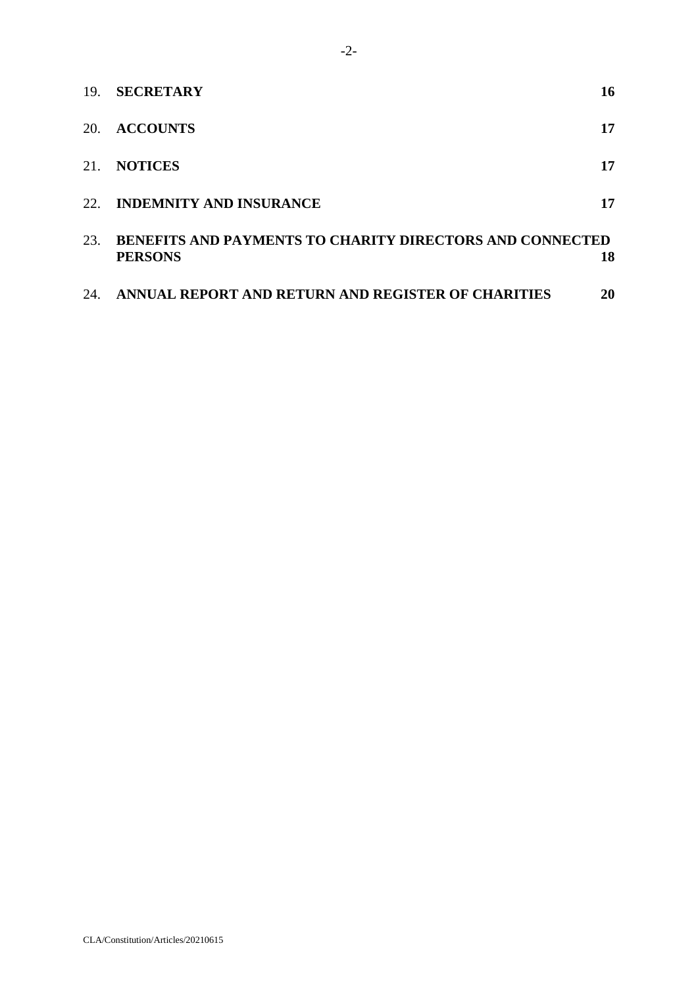| 19.      | <b>SECRETARY</b>                                                                  | 16 |
|----------|-----------------------------------------------------------------------------------|----|
| 20.      | <b>ACCOUNTS</b>                                                                   | 17 |
| 21.      | <b>NOTICES</b>                                                                    | 17 |
| $22_{-}$ | <b>INDEMNITY AND INSURANCE</b>                                                    | 17 |
| 23.      | <b>BENEFITS AND PAYMENTS TO CHARITY DIRECTORS AND CONNECTED</b><br><b>PERSONS</b> | 18 |
| 24.      | ANNUAL REPORT AND RETURN AND REGISTER OF CHARITIES                                | 20 |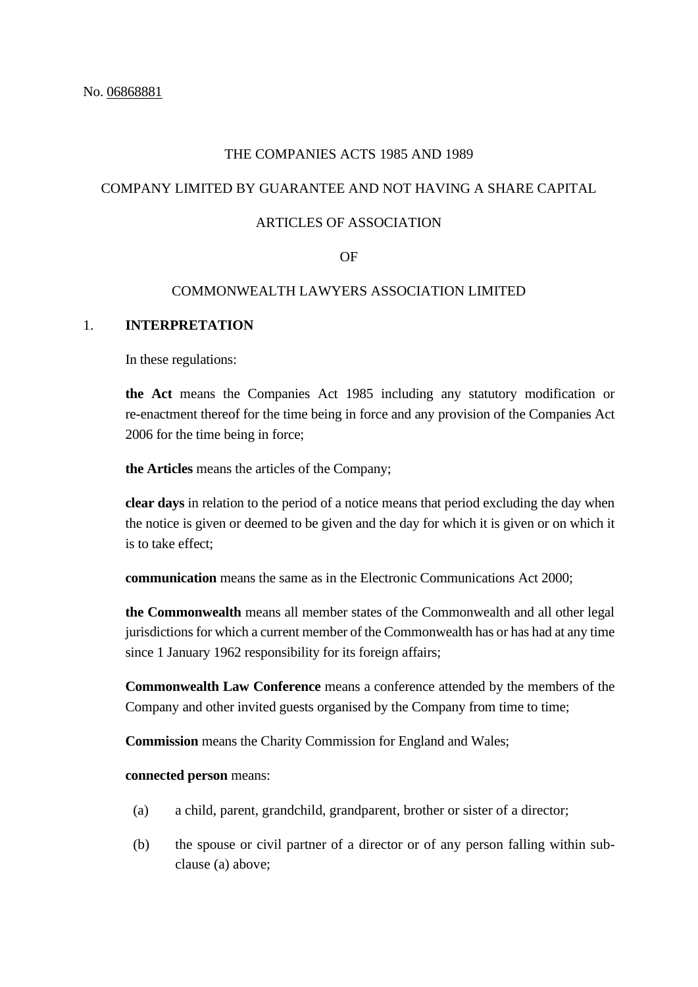#### THE COMPANIES ACTS 1985 AND 1989

### COMPANY LIMITED BY GUARANTEE AND NOT HAVING A SHARE CAPITAL

#### ARTICLES OF ASSOCIATION

#### OF

### COMMONWEALTH LAWYERS ASSOCIATION LIMITED

#### 1. **INTERPRETATION**

In these regulations:

**the Act** means the Companies Act 1985 including any statutory modification or re-enactment thereof for the time being in force and any provision of the Companies Act 2006 for the time being in force;

**the Articles** means the articles of the Company;

**clear days** in relation to the period of a notice means that period excluding the day when the notice is given or deemed to be given and the day for which it is given or on which it is to take effect;

**communication** means the same as in the Electronic Communications Act 2000;

**the Commonwealth** means all member states of the Commonwealth and all other legal jurisdictions for which a current member of the Commonwealth has or has had at any time since 1 January 1962 responsibility for its foreign affairs;

**Commonwealth Law Conference** means a conference attended by the members of the Company and other invited guests organised by the Company from time to time;

**Commission** means the Charity Commission for England and Wales;

**connected person** means:

- (a) a child, parent, grandchild, grandparent, brother or sister of a director;
- (b) the spouse or civil partner of a director or of any person falling within subclause (a) above;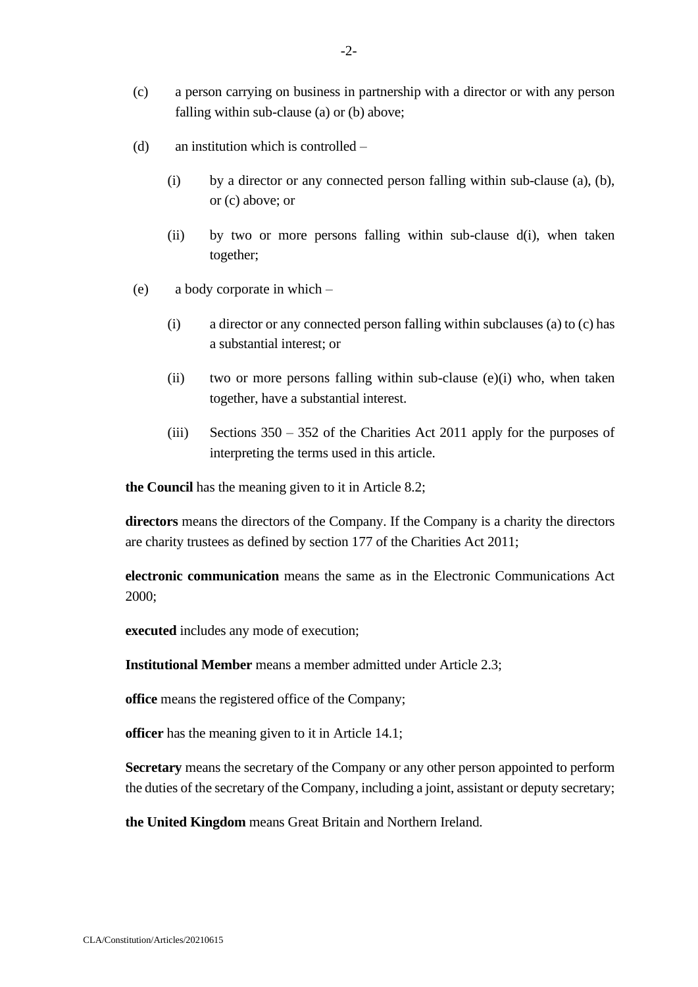- (c) a person carrying on business in partnership with a director or with any person falling within sub-clause (a) or (b) above;
- (d) an institution which is controlled
	- (i) by a director or any connected person falling within sub-clause (a), (b), or (c) above; or
	- (ii) by two or more persons falling within sub-clause d(i), when taken together;
- (e) a body corporate in which
	- (i) a director or any connected person falling within subclauses (a) to (c) has a substantial interest; or
	- (ii) two or more persons falling within sub-clause (e)(i) who, when taken together, have a substantial interest.
	- (iii) Sections 350 352 of the Charities Act 2011 apply for the purposes of interpreting the terms used in this article.

**the Council** has the meaning given to it in Article 8.2;

**directors** means the directors of the Company. If the Company is a charity the directors are charity trustees as defined by section 177 of the Charities Act 2011;

**electronic communication** means the same as in the Electronic Communications Act 2000;

**executed** includes any mode of execution;

**Institutional Member** means a member admitted under Article 2.3;

**office** means the registered office of the Company;

**officer** has the meaning given to it in Article 14.1;

**Secretary** means the secretary of the Company or any other person appointed to perform the duties of the secretary of the Company, including a joint, assistant or deputy secretary;

**the United Kingdom** means Great Britain and Northern Ireland.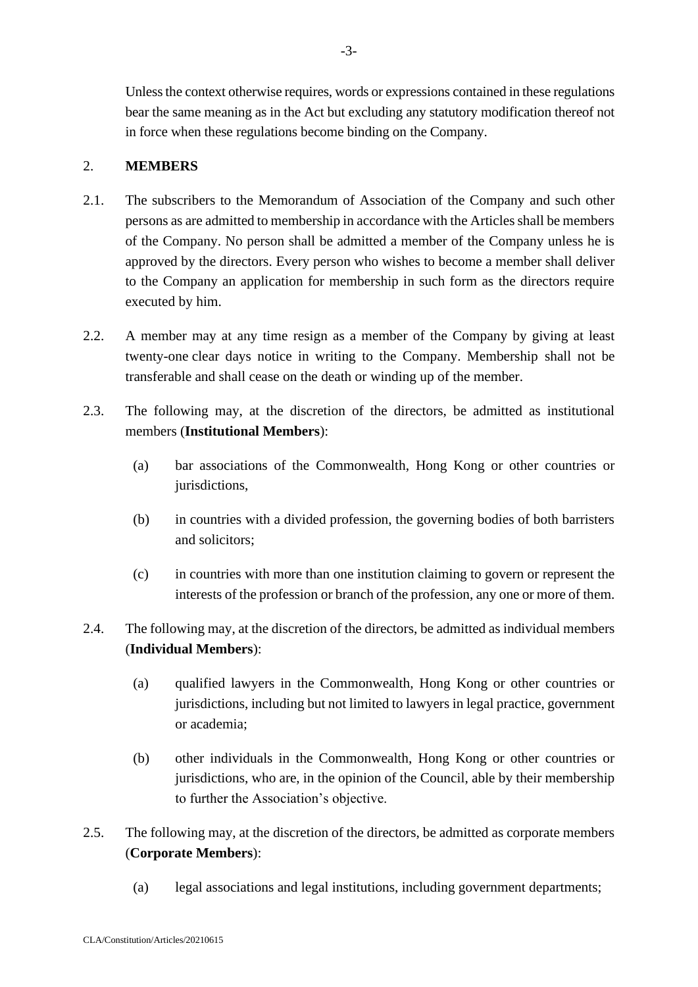Unless the context otherwise requires, words or expressions contained in these regulations bear the same meaning as in the Act but excluding any statutory modification thereof not in force when these regulations become binding on the Company.

### 2. **MEMBERS**

- 2.1. The subscribers to the Memorandum of Association of the Company and such other persons as are admitted to membership in accordance with the Articles shall be members of the Company. No person shall be admitted a member of the Company unless he is approved by the directors. Every person who wishes to become a member shall deliver to the Company an application for membership in such form as the directors require executed by him.
- 2.2. A member may at any time resign as a member of the Company by giving at least twenty-one clear days notice in writing to the Company. Membership shall not be transferable and shall cease on the death or winding up of the member.
- 2.3. The following may, at the discretion of the directors, be admitted as institutional members (**Institutional Members**):
	- (a) bar associations of the Commonwealth, Hong Kong or other countries or jurisdictions,
	- (b) in countries with a divided profession, the governing bodies of both barristers and solicitors;
	- (c) in countries with more than one institution claiming to govern or represent the interests of the profession or branch of the profession, any one or more of them.
- 2.4. The following may, at the discretion of the directors, be admitted as individual members (**Individual Members**):
	- (a) qualified lawyers in the Commonwealth, Hong Kong or other countries or jurisdictions, including but not limited to lawyers in legal practice, government or academia;
	- (b) other individuals in the Commonwealth, Hong Kong or other countries or jurisdictions, who are, in the opinion of the Council, able by their membership to further the Association's objective.
- 2.5. The following may, at the discretion of the directors, be admitted as corporate members (**Corporate Members**):
	- (a) legal associations and legal institutions, including government departments;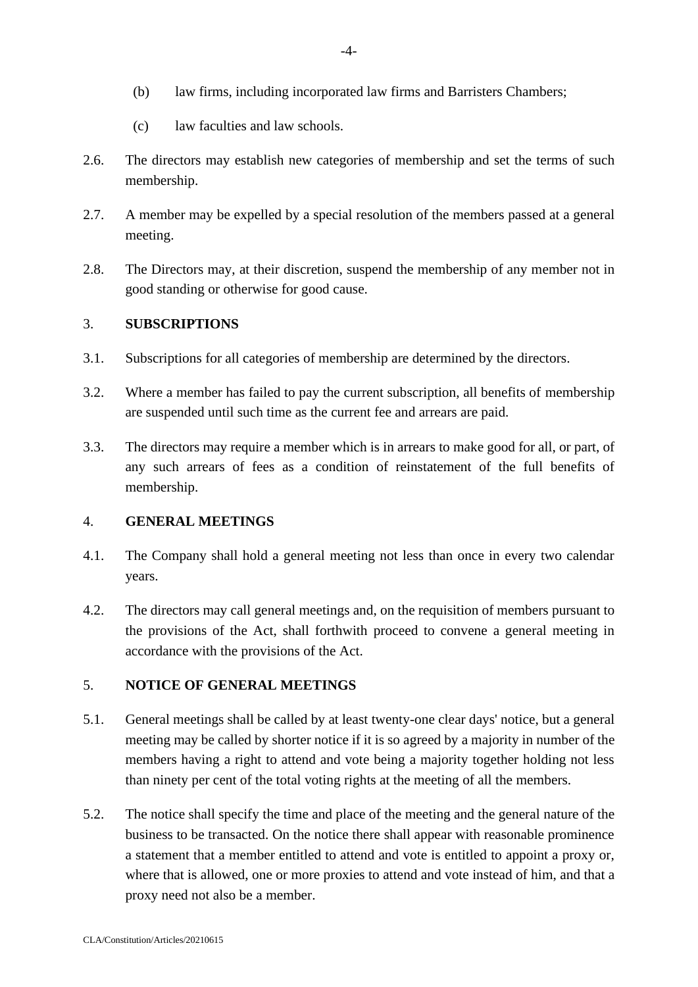- (b) law firms, including incorporated law firms and Barristers Chambers;
- (c) law faculties and law schools.
- 2.6. The directors may establish new categories of membership and set the terms of such membership.
- 2.7. A member may be expelled by a special resolution of the members passed at a general meeting.
- 2.8. The Directors may, at their discretion, suspend the membership of any member not in good standing or otherwise for good cause.

### 3. **SUBSCRIPTIONS**

- 3.1. Subscriptions for all categories of membership are determined by the directors.
- 3.2. Where a member has failed to pay the current subscription, all benefits of membership are suspended until such time as the current fee and arrears are paid.
- 3.3. The directors may require a member which is in arrears to make good for all, or part, of any such arrears of fees as a condition of reinstatement of the full benefits of membership.

# 4. **GENERAL MEETINGS**

- 4.1. The Company shall hold a general meeting not less than once in every two calendar years.
- 4.2. The directors may call general meetings and, on the requisition of members pursuant to the provisions of the Act, shall forthwith proceed to convene a general meeting in accordance with the provisions of the Act.

# 5. **NOTICE OF GENERAL MEETINGS**

- 5.1. General meetings shall be called by at least twenty-one clear days' notice, but a general meeting may be called by shorter notice if it is so agreed by a majority in number of the members having a right to attend and vote being a majority together holding not less than ninety per cent of the total voting rights at the meeting of all the members.
- 5.2. The notice shall specify the time and place of the meeting and the general nature of the business to be transacted. On the notice there shall appear with reasonable prominence a statement that a member entitled to attend and vote is entitled to appoint a proxy or, where that is allowed, one or more proxies to attend and vote instead of him, and that a proxy need not also be a member.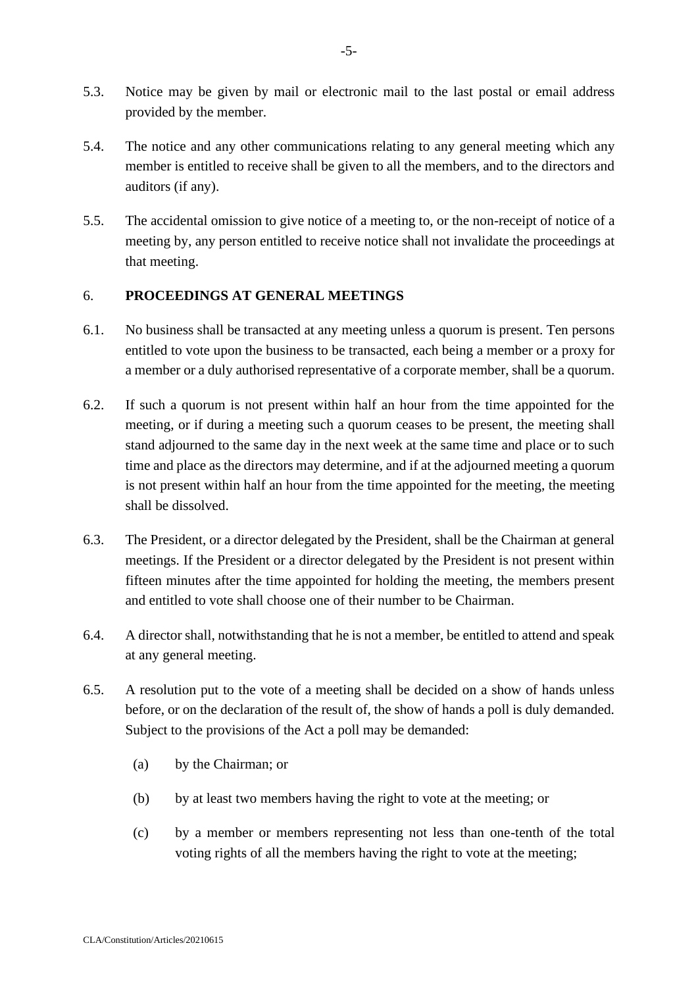- 5.3. Notice may be given by mail or electronic mail to the last postal or email address provided by the member.
- 5.4. The notice and any other communications relating to any general meeting which any member is entitled to receive shall be given to all the members, and to the directors and auditors (if any).
- 5.5. The accidental omission to give notice of a meeting to, or the non-receipt of notice of a meeting by, any person entitled to receive notice shall not invalidate the proceedings at that meeting.

### 6. **PROCEEDINGS AT GENERAL MEETINGS**

- 6.1. No business shall be transacted at any meeting unless a quorum is present. Ten persons entitled to vote upon the business to be transacted, each being a member or a proxy for a member or a duly authorised representative of a corporate member, shall be a quorum.
- 6.2. If such a quorum is not present within half an hour from the time appointed for the meeting, or if during a meeting such a quorum ceases to be present, the meeting shall stand adjourned to the same day in the next week at the same time and place or to such time and place as the directors may determine, and if at the adjourned meeting a quorum is not present within half an hour from the time appointed for the meeting, the meeting shall be dissolved.
- 6.3. The President, or a director delegated by the President, shall be the Chairman at general meetings. If the President or a director delegated by the President is not present within fifteen minutes after the time appointed for holding the meeting, the members present and entitled to vote shall choose one of their number to be Chairman.
- 6.4. A director shall, notwithstanding that he is not a member, be entitled to attend and speak at any general meeting.
- 6.5. A resolution put to the vote of a meeting shall be decided on a show of hands unless before, or on the declaration of the result of, the show of hands a poll is duly demanded. Subject to the provisions of the Act a poll may be demanded:
	- (a) by the Chairman; or
	- (b) by at least two members having the right to vote at the meeting; or
	- (c) by a member or members representing not less than one-tenth of the total voting rights of all the members having the right to vote at the meeting;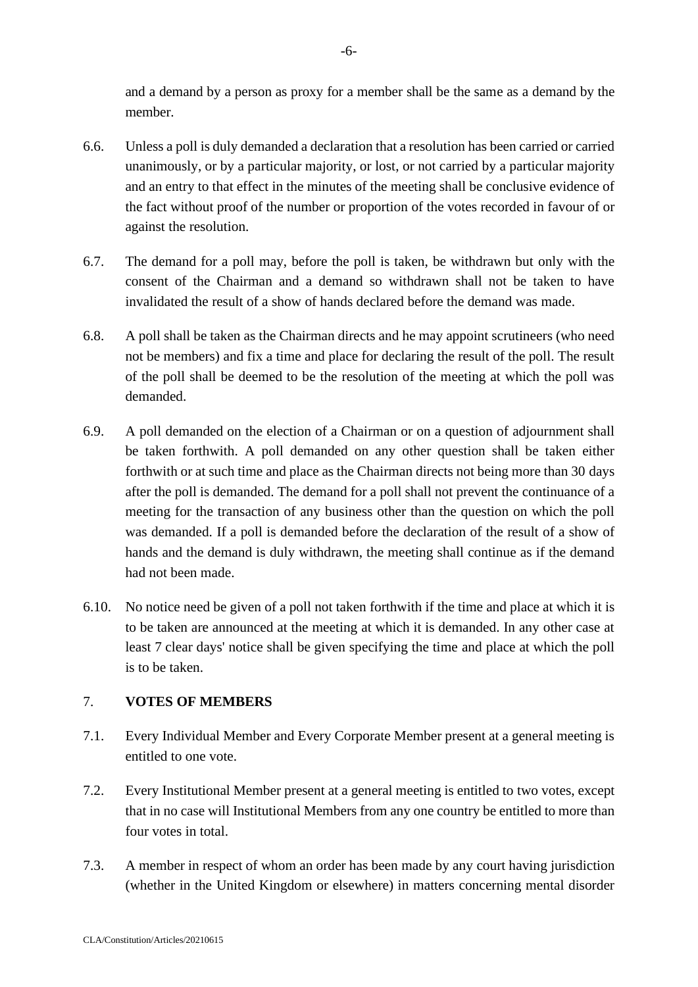and a demand by a person as proxy for a member shall be the same as a demand by the member.

- 6.6. Unless a poll is duly demanded a declaration that a resolution has been carried or carried unanimously, or by a particular majority, or lost, or not carried by a particular majority and an entry to that effect in the minutes of the meeting shall be conclusive evidence of the fact without proof of the number or proportion of the votes recorded in favour of or against the resolution.
- 6.7. The demand for a poll may, before the poll is taken, be withdrawn but only with the consent of the Chairman and a demand so withdrawn shall not be taken to have invalidated the result of a show of hands declared before the demand was made.
- 6.8. A poll shall be taken as the Chairman directs and he may appoint scrutineers (who need not be members) and fix a time and place for declaring the result of the poll. The result of the poll shall be deemed to be the resolution of the meeting at which the poll was demanded.
- 6.9. A poll demanded on the election of a Chairman or on a question of adjournment shall be taken forthwith. A poll demanded on any other question shall be taken either forthwith or at such time and place as the Chairman directs not being more than 30 days after the poll is demanded. The demand for a poll shall not prevent the continuance of a meeting for the transaction of any business other than the question on which the poll was demanded. If a poll is demanded before the declaration of the result of a show of hands and the demand is duly withdrawn, the meeting shall continue as if the demand had not been made.
- 6.10. No notice need be given of a poll not taken forthwith if the time and place at which it is to be taken are announced at the meeting at which it is demanded. In any other case at least 7 clear days' notice shall be given specifying the time and place at which the poll is to be taken.

# 7. **VOTES OF MEMBERS**

- 7.1. Every Individual Member and Every Corporate Member present at a general meeting is entitled to one vote.
- 7.2. Every Institutional Member present at a general meeting is entitled to two votes, except that in no case will Institutional Members from any one country be entitled to more than four votes in total.
- 7.3. A member in respect of whom an order has been made by any court having jurisdiction (whether in the United Kingdom or elsewhere) in matters concerning mental disorder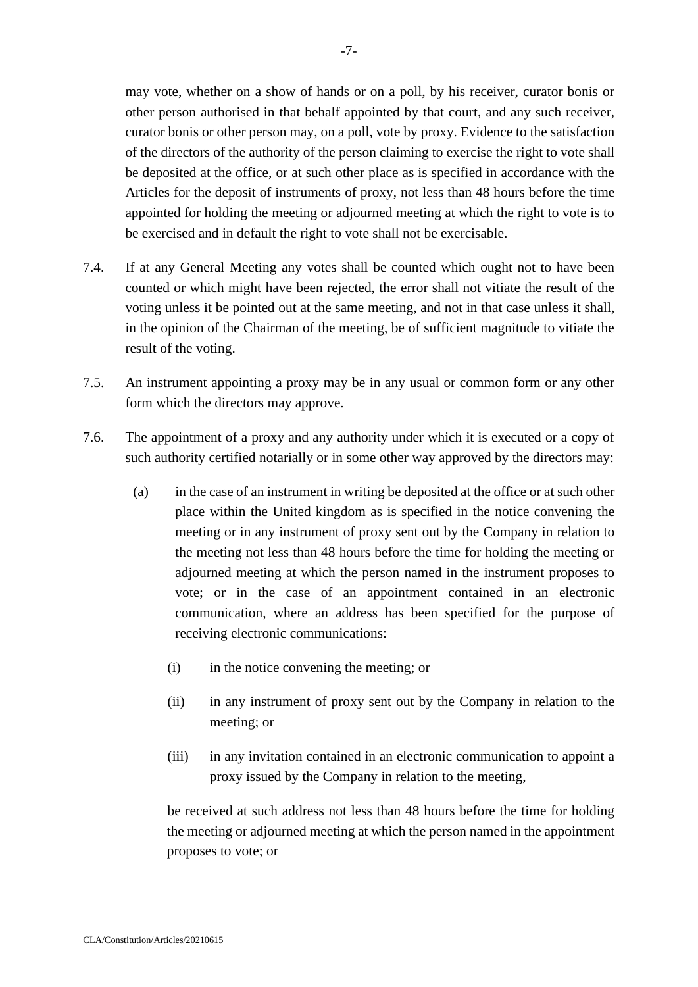may vote, whether on a show of hands or on a poll, by his receiver, curator bonis or other person authorised in that behalf appointed by that court, and any such receiver, curator bonis or other person may, on a poll, vote by proxy. Evidence to the satisfaction of the directors of the authority of the person claiming to exercise the right to vote shall be deposited at the office, or at such other place as is specified in accordance with the Articles for the deposit of instruments of proxy, not less than 48 hours before the time appointed for holding the meeting or adjourned meeting at which the right to vote is to be exercised and in default the right to vote shall not be exercisable.

- 7.4. If at any General Meeting any votes shall be counted which ought not to have been counted or which might have been rejected, the error shall not vitiate the result of the voting unless it be pointed out at the same meeting, and not in that case unless it shall, in the opinion of the Chairman of the meeting, be of sufficient magnitude to vitiate the result of the voting.
- 7.5. An instrument appointing a proxy may be in any usual or common form or any other form which the directors may approve.
- 7.6. The appointment of a proxy and any authority under which it is executed or a copy of such authority certified notarially or in some other way approved by the directors may:
	- (a) in the case of an instrument in writing be deposited at the office or at such other place within the United kingdom as is specified in the notice convening the meeting or in any instrument of proxy sent out by the Company in relation to the meeting not less than 48 hours before the time for holding the meeting or adjourned meeting at which the person named in the instrument proposes to vote; or in the case of an appointment contained in an electronic communication, where an address has been specified for the purpose of receiving electronic communications:
		- (i) in the notice convening the meeting; or
		- (ii) in any instrument of proxy sent out by the Company in relation to the meeting; or
		- (iii) in any invitation contained in an electronic communication to appoint a proxy issued by the Company in relation to the meeting,

be received at such address not less than 48 hours before the time for holding the meeting or adjourned meeting at which the person named in the appointment proposes to vote; or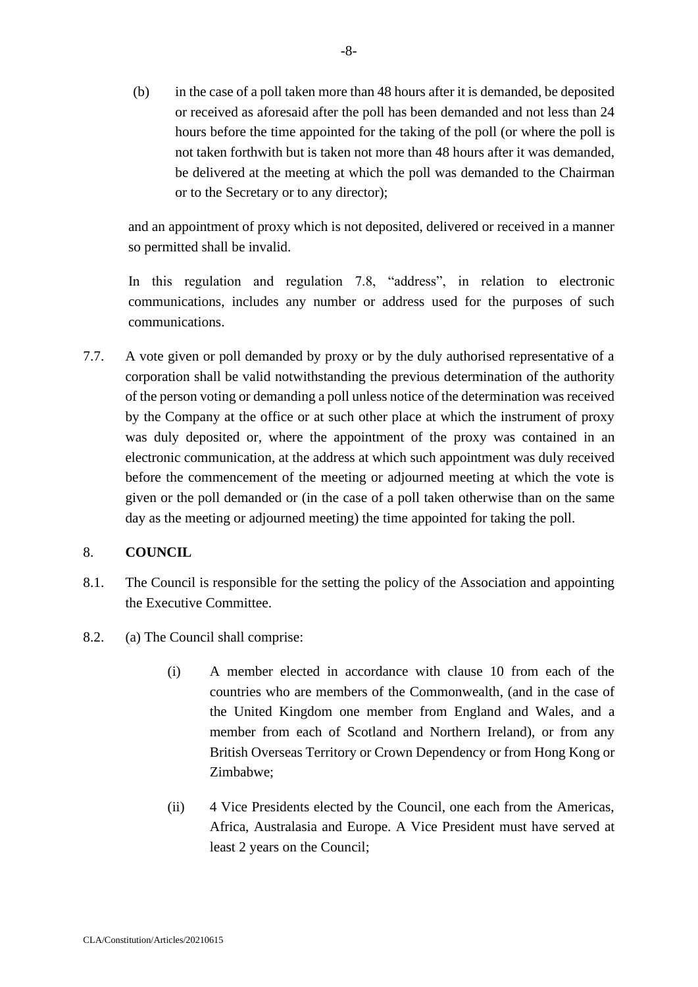(b) in the case of a poll taken more than 48 hours after it is demanded, be deposited or received as aforesaid after the poll has been demanded and not less than 24 hours before the time appointed for the taking of the poll (or where the poll is not taken forthwith but is taken not more than 48 hours after it was demanded, be delivered at the meeting at which the poll was demanded to the Chairman or to the Secretary or to any director);

and an appointment of proxy which is not deposited, delivered or received in a manner so permitted shall be invalid.

In this regulation and regulation 7.8, "address", in relation to electronic communications, includes any number or address used for the purposes of such communications.

7.7. A vote given or poll demanded by proxy or by the duly authorised representative of a corporation shall be valid notwithstanding the previous determination of the authority of the person voting or demanding a poll unless notice of the determination was received by the Company at the office or at such other place at which the instrument of proxy was duly deposited or, where the appointment of the proxy was contained in an electronic communication, at the address at which such appointment was duly received before the commencement of the meeting or adjourned meeting at which the vote is given or the poll demanded or (in the case of a poll taken otherwise than on the same day as the meeting or adjourned meeting) the time appointed for taking the poll.

# 8. **COUNCIL**

- 8.1. The Council is responsible for the setting the policy of the Association and appointing the Executive Committee.
- 8.2. (a) The Council shall comprise:
	- (i) A member elected in accordance with clause 10 from each of the countries who are members of the Commonwealth, (and in the case of the United Kingdom one member from England and Wales, and a member from each of Scotland and Northern Ireland), or from any British Overseas Territory or Crown Dependency or from Hong Kong or Zimbabwe;
	- (ii) 4 Vice Presidents elected by the Council, one each from the Americas, Africa, Australasia and Europe. A Vice President must have served at least 2 years on the Council;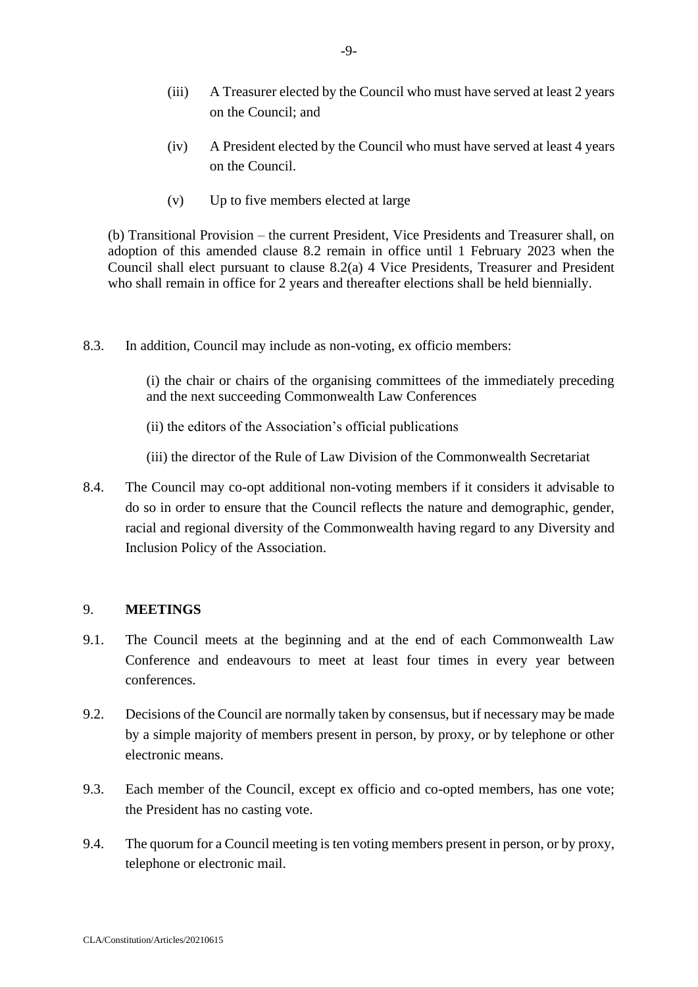- (iii) A Treasurer elected by the Council who must have served at least 2 years on the Council; and
- (iv) A President elected by the Council who must have served at least 4 years on the Council.
- (v) Up to five members elected at large

(b) Transitional Provision – the current President, Vice Presidents and Treasurer shall, on adoption of this amended clause 8.2 remain in office until 1 February 2023 when the Council shall elect pursuant to clause 8.2(a) 4 Vice Presidents, Treasurer and President who shall remain in office for 2 years and thereafter elections shall be held biennially.

8.3. In addition, Council may include as non-voting, ex officio members:

(i) the chair or chairs of the organising committees of the immediately preceding and the next succeeding Commonwealth Law Conferences

- (ii) the editors of the Association's official publications
- (iii) the director of the Rule of Law Division of the Commonwealth Secretariat
- 8.4. The Council may co-opt additional non-voting members if it considers it advisable to do so in order to ensure that the Council reflects the nature and demographic, gender, racial and regional diversity of the Commonwealth having regard to any Diversity and Inclusion Policy of the Association.

#### 9. **MEETINGS**

- 9.1. The Council meets at the beginning and at the end of each Commonwealth Law Conference and endeavours to meet at least four times in every year between conferences.
- 9.2. Decisions of the Council are normally taken by consensus, but if necessary may be made by a simple majority of members present in person, by proxy, or by telephone or other electronic means.
- 9.3. Each member of the Council, except ex officio and co-opted members, has one vote; the President has no casting vote.
- 9.4. The quorum for a Council meeting is ten voting members present in person, or by proxy, telephone or electronic mail.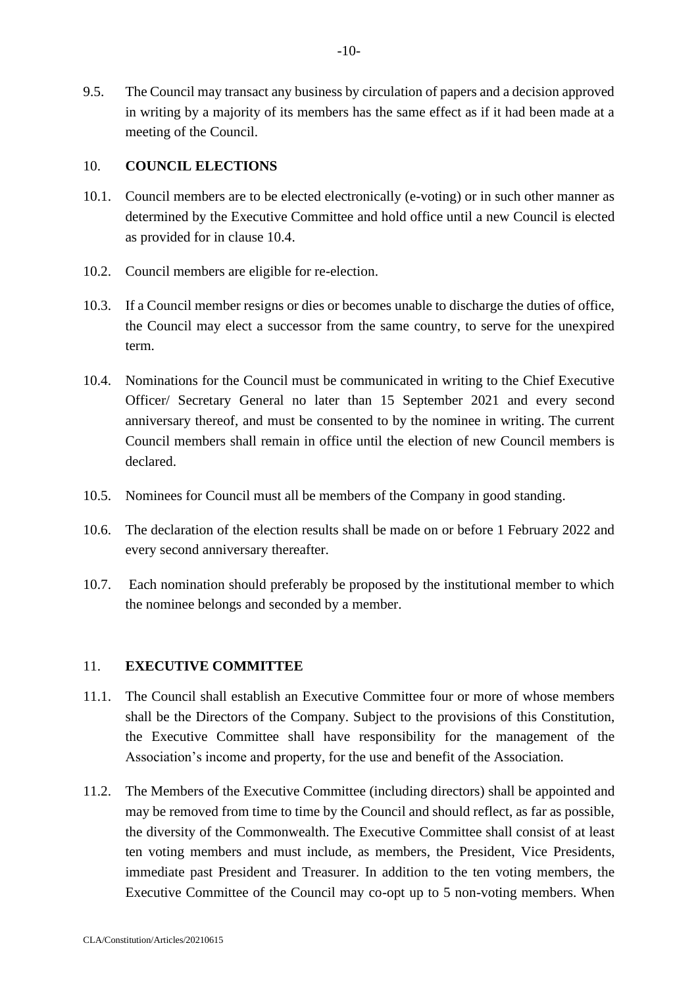9.5. The Council may transact any business by circulation of papers and a decision approved in writing by a majority of its members has the same effect as if it had been made at a meeting of the Council.

#### 10. **COUNCIL ELECTIONS**

- 10.1. Council members are to be elected electronically (e-voting) or in such other manner as determined by the Executive Committee and hold office until a new Council is elected as provided for in clause 10.4.
- 10.2. Council members are eligible for re-election.
- 10.3. If a Council member resigns or dies or becomes unable to discharge the duties of office, the Council may elect a successor from the same country, to serve for the unexpired term.
- 10.4. Nominations for the Council must be communicated in writing to the Chief Executive Officer/ Secretary General no later than 15 September 2021 and every second anniversary thereof, and must be consented to by the nominee in writing. The current Council members shall remain in office until the election of new Council members is declared.
- 10.5. Nominees for Council must all be members of the Company in good standing.
- 10.6. The declaration of the election results shall be made on or before 1 February 2022 and every second anniversary thereafter.
- 10.7. Each nomination should preferably be proposed by the institutional member to which the nominee belongs and seconded by a member.

#### 11. **EXECUTIVE COMMITTEE**

- 11.1. The Council shall establish an Executive Committee four or more of whose members shall be the Directors of the Company. Subject to the provisions of this Constitution, the Executive Committee shall have responsibility for the management of the Association's income and property, for the use and benefit of the Association.
- 11.2. The Members of the Executive Committee (including directors) shall be appointed and may be removed from time to time by the Council and should reflect, as far as possible, the diversity of the Commonwealth. The Executive Committee shall consist of at least ten voting members and must include, as members, the President, Vice Presidents, immediate past President and Treasurer. In addition to the ten voting members, the Executive Committee of the Council may co-opt up to 5 non-voting members. When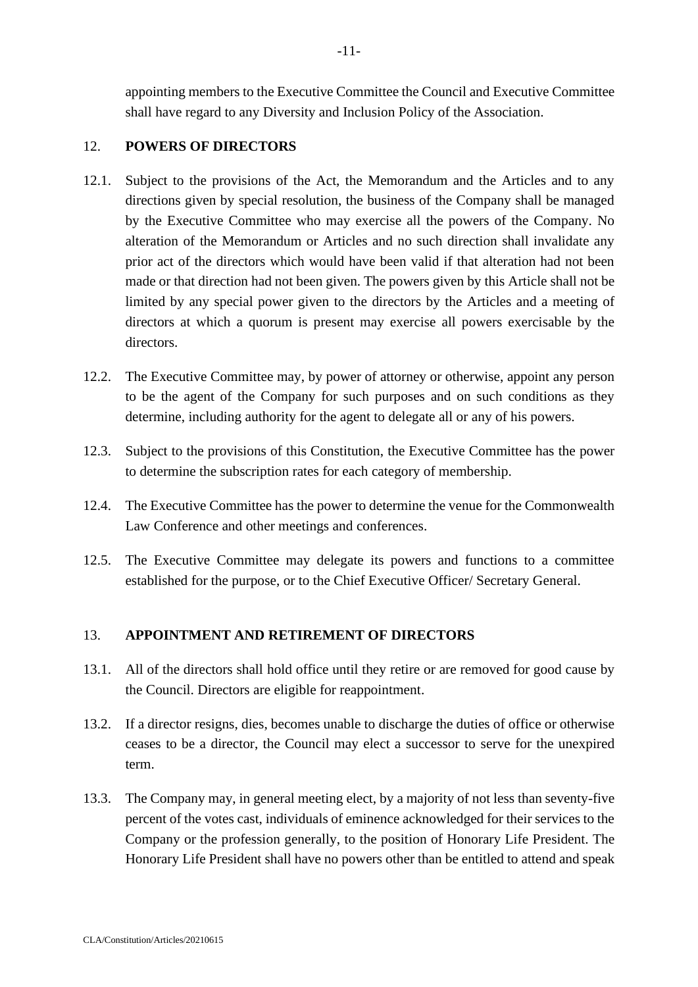appointing members to the Executive Committee the Council and Executive Committee shall have regard to any Diversity and Inclusion Policy of the Association.

# 12. **POWERS OF DIRECTORS**

- 12.1. Subject to the provisions of the Act, the Memorandum and the Articles and to any directions given by special resolution, the business of the Company shall be managed by the Executive Committee who may exercise all the powers of the Company. No alteration of the Memorandum or Articles and no such direction shall invalidate any prior act of the directors which would have been valid if that alteration had not been made or that direction had not been given. The powers given by this Article shall not be limited by any special power given to the directors by the Articles and a meeting of directors at which a quorum is present may exercise all powers exercisable by the directors.
- 12.2. The Executive Committee may, by power of attorney or otherwise, appoint any person to be the agent of the Company for such purposes and on such conditions as they determine, including authority for the agent to delegate all or any of his powers.
- 12.3. Subject to the provisions of this Constitution, the Executive Committee has the power to determine the subscription rates for each category of membership.
- 12.4. The Executive Committee has the power to determine the venue for the Commonwealth Law Conference and other meetings and conferences.
- 12.5. The Executive Committee may delegate its powers and functions to a committee established for the purpose, or to the Chief Executive Officer/ Secretary General.

# 13. **APPOINTMENT AND RETIREMENT OF DIRECTORS**

- 13.1. All of the directors shall hold office until they retire or are removed for good cause by the Council. Directors are eligible for reappointment.
- 13.2. If a director resigns, dies, becomes unable to discharge the duties of office or otherwise ceases to be a director, the Council may elect a successor to serve for the unexpired term.
- 13.3. The Company may, in general meeting elect, by a majority of not less than seventy-five percent of the votes cast, individuals of eminence acknowledged for their services to the Company or the profession generally, to the position of Honorary Life President. The Honorary Life President shall have no powers other than be entitled to attend and speak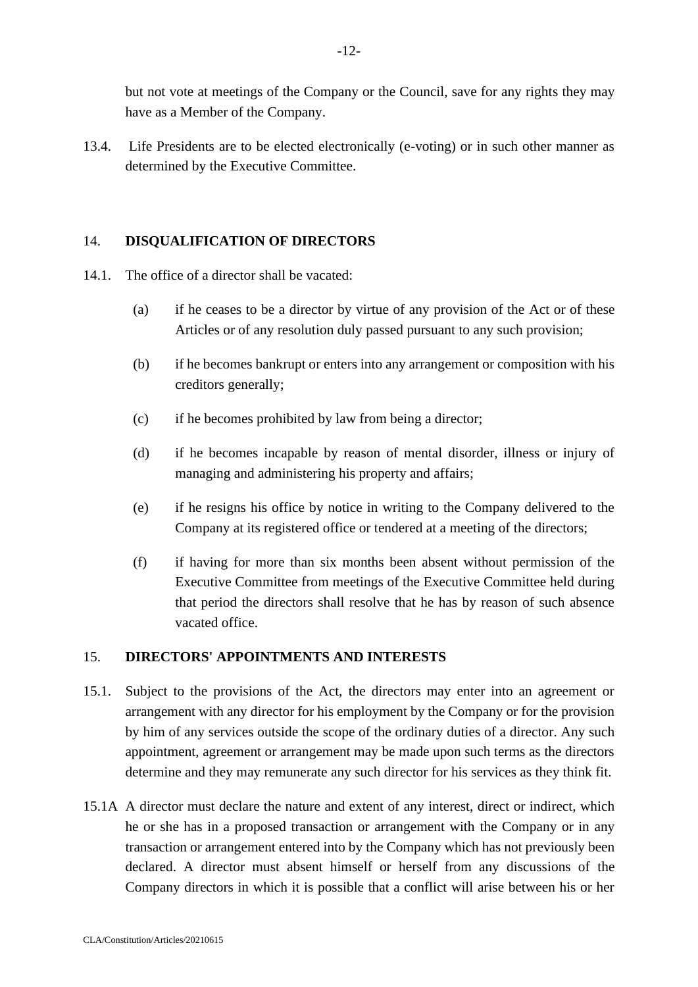but not vote at meetings of the Company or the Council, save for any rights they may have as a Member of the Company.

13.4. Life Presidents are to be elected electronically (e-voting) or in such other manner as determined by the Executive Committee.

# 14. **DISQUALIFICATION OF DIRECTORS**

- 14.1. The office of a director shall be vacated:
	- (a) if he ceases to be a director by virtue of any provision of the Act or of these Articles or of any resolution duly passed pursuant to any such provision;
	- (b) if he becomes bankrupt or enters into any arrangement or composition with his creditors generally;
	- (c) if he becomes prohibited by law from being a director;
	- (d) if he becomes incapable by reason of mental disorder, illness or injury of managing and administering his property and affairs;
	- (e) if he resigns his office by notice in writing to the Company delivered to the Company at its registered office or tendered at a meeting of the directors;
	- (f) if having for more than six months been absent without permission of the Executive Committee from meetings of the Executive Committee held during that period the directors shall resolve that he has by reason of such absence vacated office.

# 15. **DIRECTORS' APPOINTMENTS AND INTERESTS**

- 15.1. Subject to the provisions of the Act, the directors may enter into an agreement or arrangement with any director for his employment by the Company or for the provision by him of any services outside the scope of the ordinary duties of a director. Any such appointment, agreement or arrangement may be made upon such terms as the directors determine and they may remunerate any such director for his services as they think fit.
- 15.1A A director must declare the nature and extent of any interest, direct or indirect, which he or she has in a proposed transaction or arrangement with the Company or in any transaction or arrangement entered into by the Company which has not previously been declared. A director must absent himself or herself from any discussions of the Company directors in which it is possible that a conflict will arise between his or her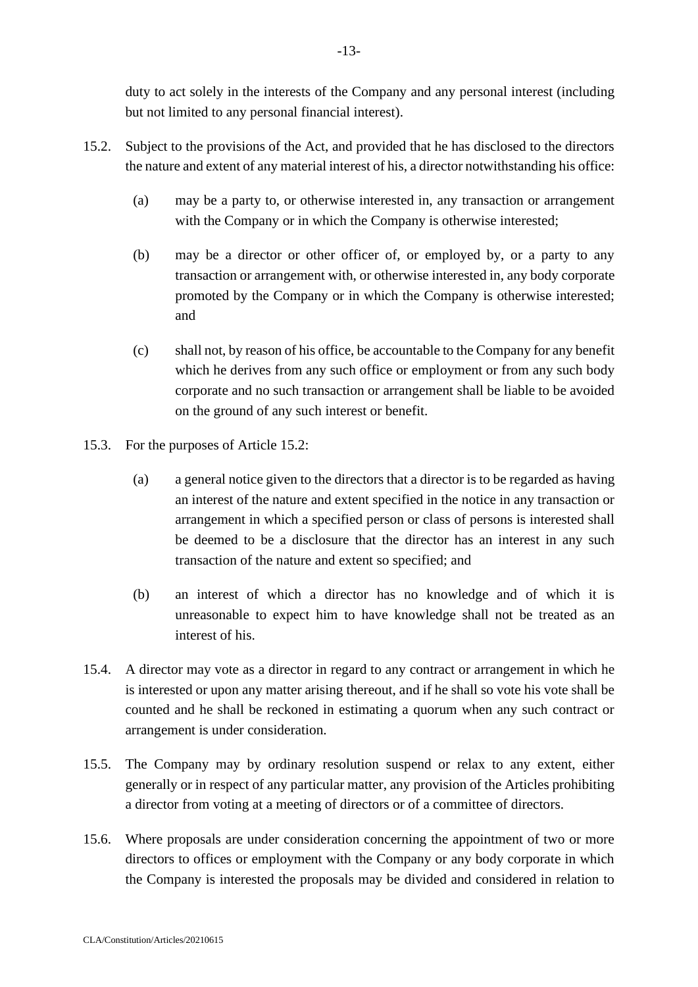duty to act solely in the interests of the Company and any personal interest (including but not limited to any personal financial interest).

- 15.2. Subject to the provisions of the Act, and provided that he has disclosed to the directors the nature and extent of any material interest of his, a director notwithstanding his office:
	- (a) may be a party to, or otherwise interested in, any transaction or arrangement with the Company or in which the Company is otherwise interested;
	- (b) may be a director or other officer of, or employed by, or a party to any transaction or arrangement with, or otherwise interested in, any body corporate promoted by the Company or in which the Company is otherwise interested; and
	- (c) shall not, by reason of his office, be accountable to the Company for any benefit which he derives from any such office or employment or from any such body corporate and no such transaction or arrangement shall be liable to be avoided on the ground of any such interest or benefit.
- 15.3. For the purposes of Article 15.2:
	- (a) a general notice given to the directors that a director is to be regarded as having an interest of the nature and extent specified in the notice in any transaction or arrangement in which a specified person or class of persons is interested shall be deemed to be a disclosure that the director has an interest in any such transaction of the nature and extent so specified; and
	- (b) an interest of which a director has no knowledge and of which it is unreasonable to expect him to have knowledge shall not be treated as an interest of his.
- 15.4. A director may vote as a director in regard to any contract or arrangement in which he is interested or upon any matter arising thereout, and if he shall so vote his vote shall be counted and he shall be reckoned in estimating a quorum when any such contract or arrangement is under consideration.
- 15.5. The Company may by ordinary resolution suspend or relax to any extent, either generally or in respect of any particular matter, any provision of the Articles prohibiting a director from voting at a meeting of directors or of a committee of directors.
- 15.6. Where proposals are under consideration concerning the appointment of two or more directors to offices or employment with the Company or any body corporate in which the Company is interested the proposals may be divided and considered in relation to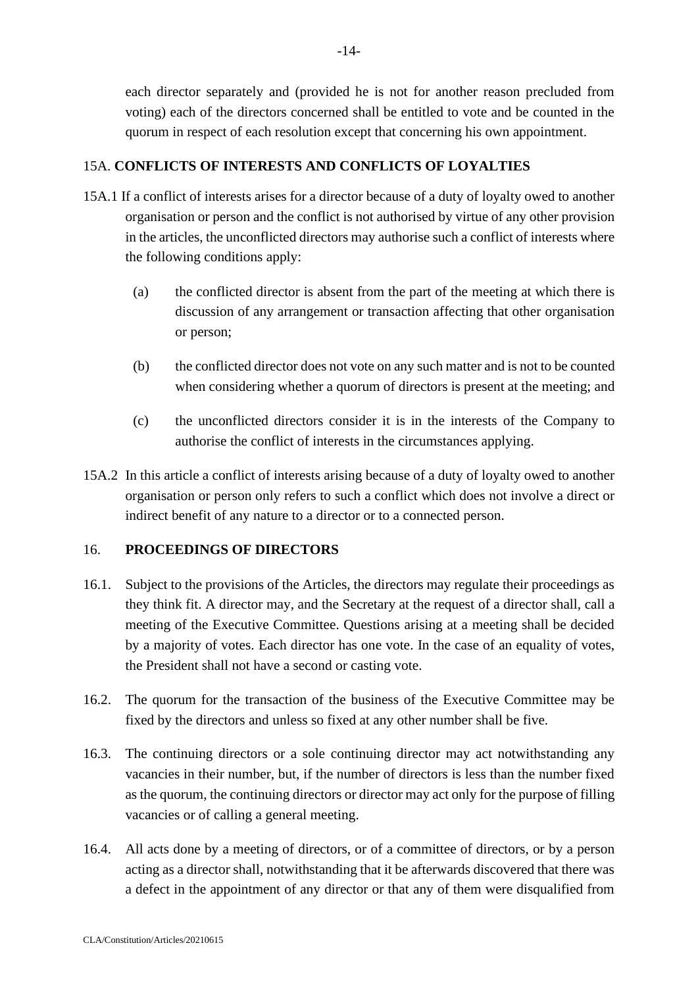each director separately and (provided he is not for another reason precluded from voting) each of the directors concerned shall be entitled to vote and be counted in the quorum in respect of each resolution except that concerning his own appointment.

### 15A. **CONFLICTS OF INTERESTS AND CONFLICTS OF LOYALTIES**

- 15A.1 If a conflict of interests arises for a director because of a duty of loyalty owed to another organisation or person and the conflict is not authorised by virtue of any other provision in the articles, the unconflicted directors may authorise such a conflict of interests where the following conditions apply:
	- (a) the conflicted director is absent from the part of the meeting at which there is discussion of any arrangement or transaction affecting that other organisation or person;
	- (b) the conflicted director does not vote on any such matter and is not to be counted when considering whether a quorum of directors is present at the meeting; and
	- (c) the unconflicted directors consider it is in the interests of the Company to authorise the conflict of interests in the circumstances applying.
- 15A.2 In this article a conflict of interests arising because of a duty of loyalty owed to another organisation or person only refers to such a conflict which does not involve a direct or indirect benefit of any nature to a director or to a connected person.

# 16. **PROCEEDINGS OF DIRECTORS**

- 16.1. Subject to the provisions of the Articles, the directors may regulate their proceedings as they think fit. A director may, and the Secretary at the request of a director shall, call a meeting of the Executive Committee. Questions arising at a meeting shall be decided by a majority of votes. Each director has one vote. In the case of an equality of votes, the President shall not have a second or casting vote.
- 16.2. The quorum for the transaction of the business of the Executive Committee may be fixed by the directors and unless so fixed at any other number shall be five.
- 16.3. The continuing directors or a sole continuing director may act notwithstanding any vacancies in their number, but, if the number of directors is less than the number fixed as the quorum, the continuing directors or director may act only for the purpose of filling vacancies or of calling a general meeting.
- 16.4. All acts done by a meeting of directors, or of a committee of directors, or by a person acting as a director shall, notwithstanding that it be afterwards discovered that there was a defect in the appointment of any director or that any of them were disqualified from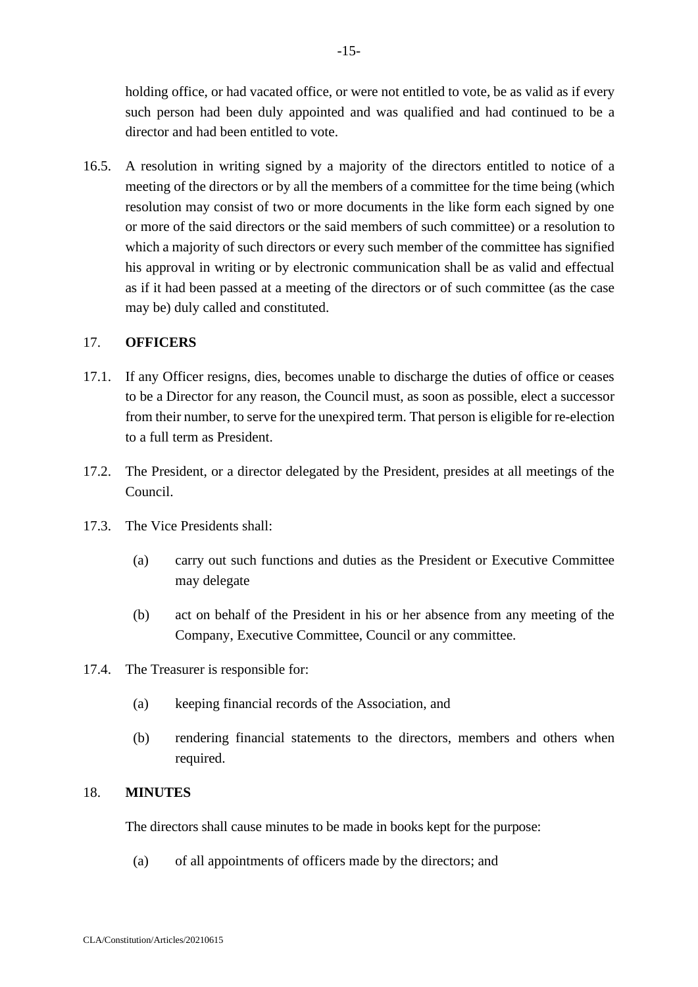holding office, or had vacated office, or were not entitled to vote, be as valid as if every such person had been duly appointed and was qualified and had continued to be a director and had been entitled to vote.

16.5. A resolution in writing signed by a majority of the directors entitled to notice of a meeting of the directors or by all the members of a committee for the time being (which resolution may consist of two or more documents in the like form each signed by one or more of the said directors or the said members of such committee) or a resolution to which a majority of such directors or every such member of the committee has signified his approval in writing or by electronic communication shall be as valid and effectual as if it had been passed at a meeting of the directors or of such committee (as the case may be) duly called and constituted.

### 17. **OFFICERS**

- 17.1. If any Officer resigns, dies, becomes unable to discharge the duties of office or ceases to be a Director for any reason, the Council must, as soon as possible, elect a successor from their number, to serve for the unexpired term. That person is eligible for re-election to a full term as President.
- 17.2. The President, or a director delegated by the President, presides at all meetings of the Council.
- 17.3. The Vice Presidents shall:
	- (a) carry out such functions and duties as the President or Executive Committee may delegate
	- (b) act on behalf of the President in his or her absence from any meeting of the Company, Executive Committee, Council or any committee.
- 17.4. The Treasurer is responsible for:
	- (a) keeping financial records of the Association, and
	- (b) rendering financial statements to the directors, members and others when required.

### 18. **MINUTES**

The directors shall cause minutes to be made in books kept for the purpose:

(a) of all appointments of officers made by the directors; and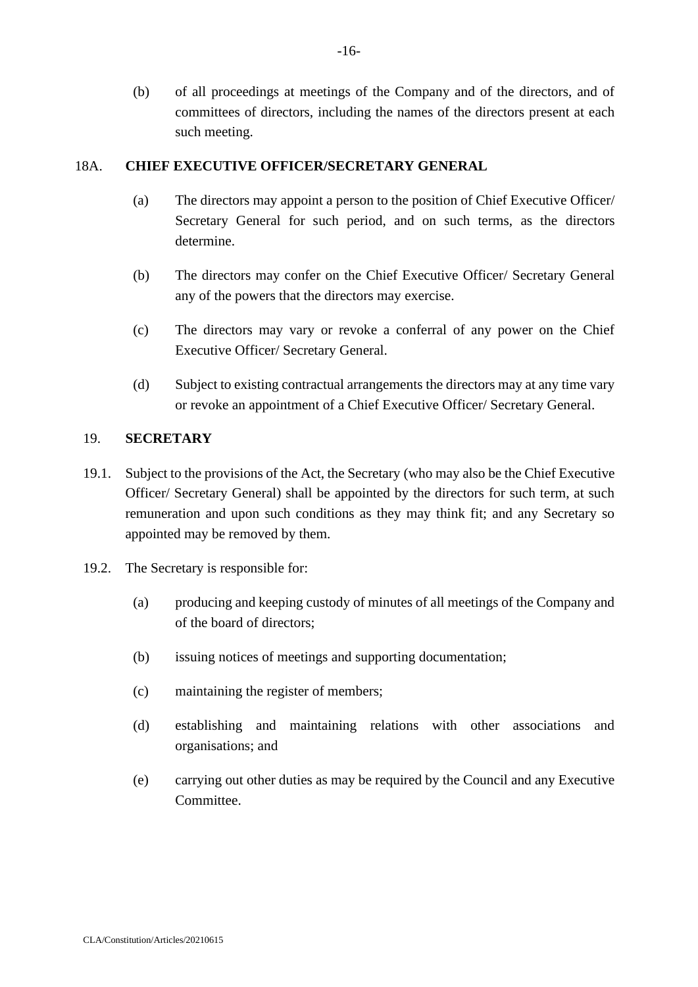(b) of all proceedings at meetings of the Company and of the directors, and of committees of directors, including the names of the directors present at each such meeting.

### 18A. **CHIEF EXECUTIVE OFFICER/SECRETARY GENERAL**

- (a) The directors may appoint a person to the position of Chief Executive Officer/ Secretary General for such period, and on such terms, as the directors determine.
- (b) The directors may confer on the Chief Executive Officer/ Secretary General any of the powers that the directors may exercise.
- (c) The directors may vary or revoke a conferral of any power on the Chief Executive Officer/ Secretary General.
- (d) Subject to existing contractual arrangements the directors may at any time vary or revoke an appointment of a Chief Executive Officer/ Secretary General.

### 19. **SECRETARY**

- 19.1. Subject to the provisions of the Act, the Secretary (who may also be the Chief Executive Officer/ Secretary General) shall be appointed by the directors for such term, at such remuneration and upon such conditions as they may think fit; and any Secretary so appointed may be removed by them.
- 19.2. The Secretary is responsible for:
	- (a) producing and keeping custody of minutes of all meetings of the Company and of the board of directors;
	- (b) issuing notices of meetings and supporting documentation;
	- (c) maintaining the register of members;
	- (d) establishing and maintaining relations with other associations and organisations; and
	- (e) carrying out other duties as may be required by the Council and any Executive Committee.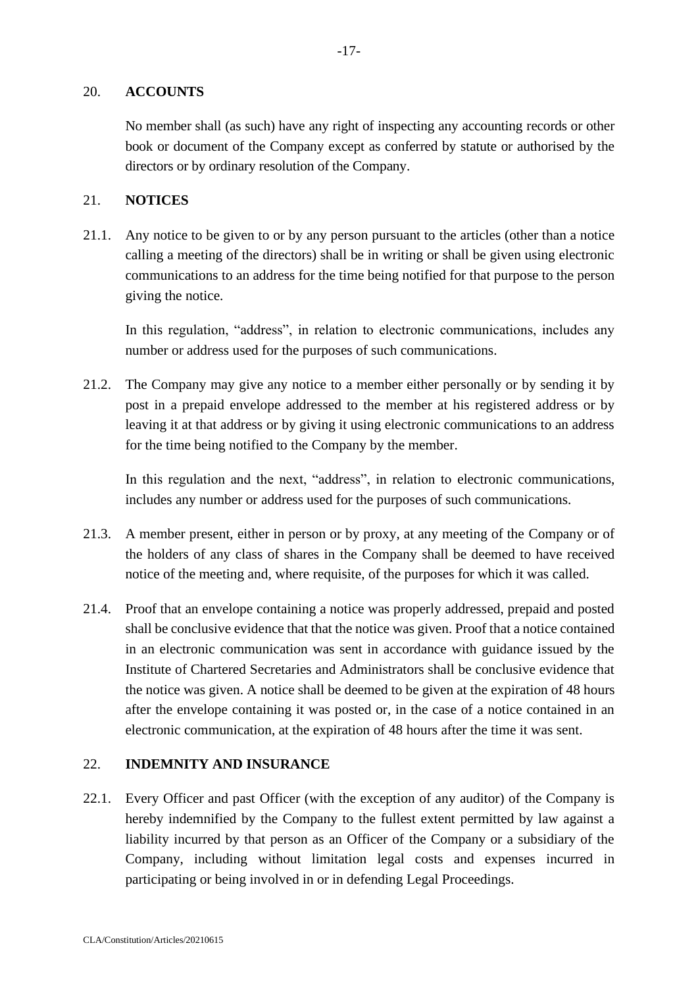#### 20. **ACCOUNTS**

No member shall (as such) have any right of inspecting any accounting records or other book or document of the Company except as conferred by statute or authorised by the directors or by ordinary resolution of the Company.

#### 21. **NOTICES**

21.1. Any notice to be given to or by any person pursuant to the articles (other than a notice calling a meeting of the directors) shall be in writing or shall be given using electronic communications to an address for the time being notified for that purpose to the person giving the notice.

In this regulation, "address", in relation to electronic communications, includes any number or address used for the purposes of such communications.

21.2. The Company may give any notice to a member either personally or by sending it by post in a prepaid envelope addressed to the member at his registered address or by leaving it at that address or by giving it using electronic communications to an address for the time being notified to the Company by the member.

In this regulation and the next, "address", in relation to electronic communications, includes any number or address used for the purposes of such communications.

- 21.3. A member present, either in person or by proxy, at any meeting of the Company or of the holders of any class of shares in the Company shall be deemed to have received notice of the meeting and, where requisite, of the purposes for which it was called.
- 21.4. Proof that an envelope containing a notice was properly addressed, prepaid and posted shall be conclusive evidence that that the notice was given. Proof that a notice contained in an electronic communication was sent in accordance with guidance issued by the Institute of Chartered Secretaries and Administrators shall be conclusive evidence that the notice was given. A notice shall be deemed to be given at the expiration of 48 hours after the envelope containing it was posted or, in the case of a notice contained in an electronic communication, at the expiration of 48 hours after the time it was sent.

#### 22. **INDEMNITY AND INSURANCE**

22.1. Every Officer and past Officer (with the exception of any auditor) of the Company is hereby indemnified by the Company to the fullest extent permitted by law against a liability incurred by that person as an Officer of the Company or a subsidiary of the Company, including without limitation legal costs and expenses incurred in participating or being involved in or in defending Legal Proceedings.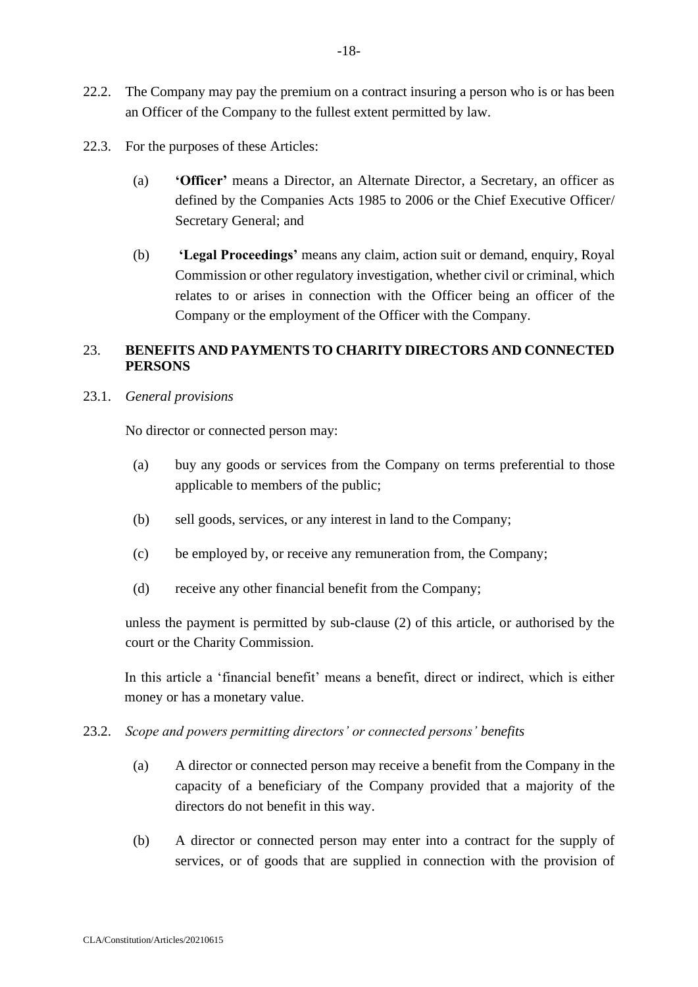- 22.2. The Company may pay the premium on a contract insuring a person who is or has been an Officer of the Company to the fullest extent permitted by law.
- 22.3. For the purposes of these Articles:
	- (a) **'Officer'** means a Director, an Alternate Director, a Secretary, an officer as defined by the Companies Acts 1985 to 2006 or the Chief Executive Officer/ Secretary General; and
	- (b) **'Legal Proceedings'** means any claim, action suit or demand, enquiry, Royal Commission or other regulatory investigation, whether civil or criminal, which relates to or arises in connection with the Officer being an officer of the Company or the employment of the Officer with the Company.

# 23. **BENEFITS AND PAYMENTS TO CHARITY DIRECTORS AND CONNECTED PERSONS**

23.1. *General provisions*

No director or connected person may:

- (a) buy any goods or services from the Company on terms preferential to those applicable to members of the public;
- (b) sell goods, services, or any interest in land to the Company;
- (c) be employed by, or receive any remuneration from, the Company;
- (d) receive any other financial benefit from the Company;

unless the payment is permitted by sub-clause (2) of this article, or authorised by the court or the Charity Commission.

In this article a 'financial benefit' means a benefit, direct or indirect, which is either money or has a monetary value.

- 23.2. *Scope and powers permitting directors' or connected persons' benefits*
	- (a) A director or connected person may receive a benefit from the Company in the capacity of a beneficiary of the Company provided that a majority of the directors do not benefit in this way.
	- (b) A director or connected person may enter into a contract for the supply of services, or of goods that are supplied in connection with the provision of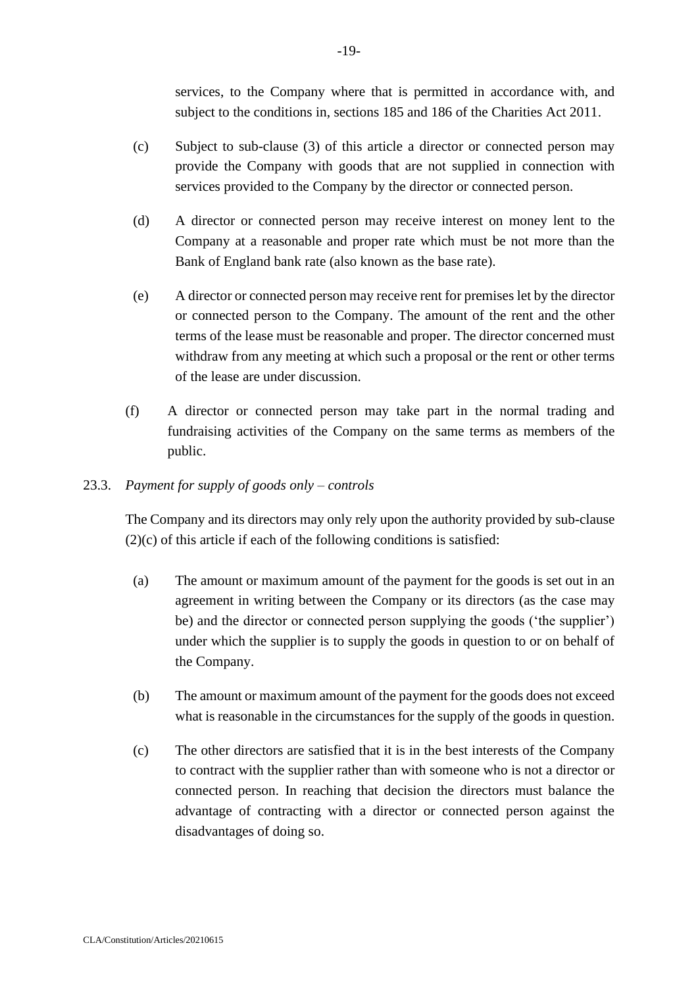services, to the Company where that is permitted in accordance with, and subject to the conditions in, sections 185 and 186 of the Charities Act 2011.

- (c) Subject to sub-clause (3) of this article a director or connected person may provide the Company with goods that are not supplied in connection with services provided to the Company by the director or connected person.
- (d) A director or connected person may receive interest on money lent to the Company at a reasonable and proper rate which must be not more than the Bank of England bank rate (also known as the base rate).
- (e) A director or connected person may receive rent for premises let by the director or connected person to the Company. The amount of the rent and the other terms of the lease must be reasonable and proper. The director concerned must withdraw from any meeting at which such a proposal or the rent or other terms of the lease are under discussion.
- (f) A director or connected person may take part in the normal trading and fundraising activities of the Company on the same terms as members of the public.

# 23.3. *Payment for supply of goods only – controls*

The Company and its directors may only rely upon the authority provided by sub-clause  $(2)(c)$  of this article if each of the following conditions is satisfied:

- (a) The amount or maximum amount of the payment for the goods is set out in an agreement in writing between the Company or its directors (as the case may be) and the director or connected person supplying the goods ('the supplier') under which the supplier is to supply the goods in question to or on behalf of the Company.
- (b) The amount or maximum amount of the payment for the goods does not exceed what is reasonable in the circumstances for the supply of the goods in question.
- (c) The other directors are satisfied that it is in the best interests of the Company to contract with the supplier rather than with someone who is not a director or connected person. In reaching that decision the directors must balance the advantage of contracting with a director or connected person against the disadvantages of doing so.